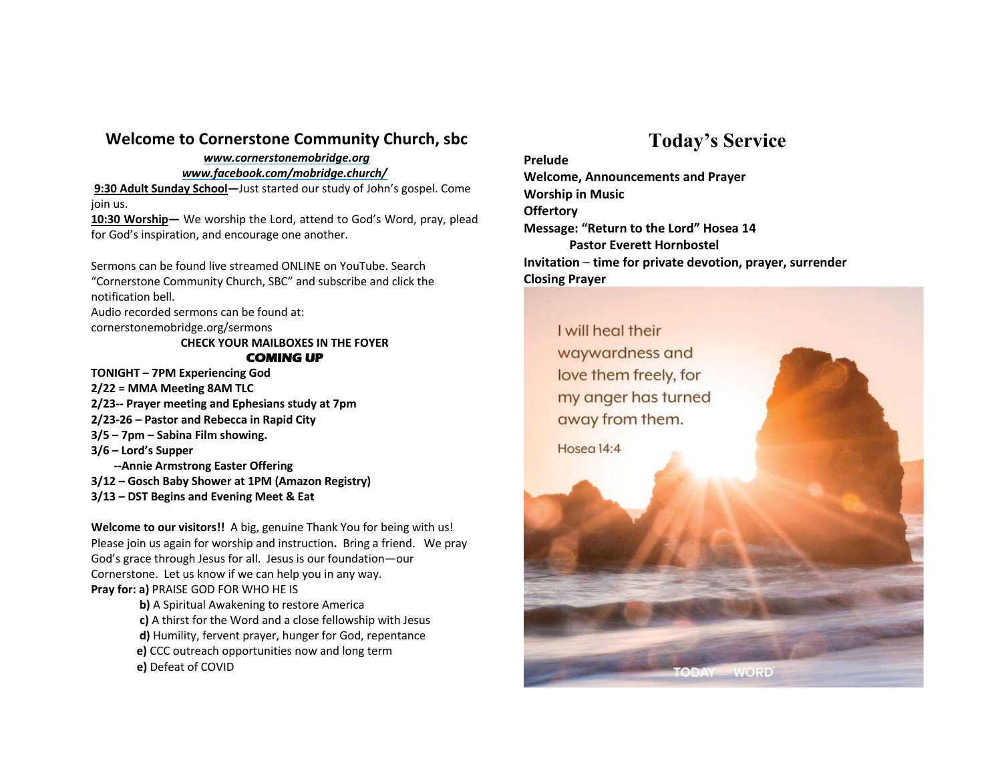### **Welcome to Cornerstone Community Church, sbc**

#### *www.cornerstonemobridge.org www.facebook.com/mobridge.church/*

**9:30 Adult Sunday School—**Just started our study of John's gospel. Come join us.

**10:30 Worship—** We worship the Lord, attend to God's Word, pray, plead for God's inspiration, and encourage one another.

Sermons can be found live streamed ONLINE on YouTube. Search "Cornerstone Community Church, SBC" and subscribe and click the notification bell.

Audio recorded sermons can be found at:

cornerstonemobridge.org/sermons

#### **CHECK YOUR MAILBOXES IN THE FOYER COMING UP**

**TONIGHT – 7PM Experiencing God**

**2/22 = MMA Meeting 8AM TLC 2/23-- Prayer meeting and Ephesians study at 7pm**

- **2/23-26 – Pastor and Rebecca in Rapid City**
- **3/5 – 7pm – Sabina Film showing.**

**3/6 – Lord's Supper**

 **--Annie Armstrong Easter Offering**

- **3/12 – Gosch Baby Shower at 1PM (Amazon Registry)**
- **3/13 – DST Begins and Evening Meet & Eat**

**Welcome to our visitors!!** A big, genuine Thank You for being with us! Please join us again for worship and instruction**.** Bring a friend. We pray God's grace through Jesus for all. Jesus is our foundation—our Cornerstone. Let us know if we can help you in any way. **Pray for: a)** PRAISE GOD FOR WHO HE IS

- **b)** A Spiritual Awakening to restore America
- **c)** A thirst for the Word and a close fellowship with Jesus
- **d)** Humility, fervent prayer, hunger for God, repentance
- **e)** CCC outreach opportunities now and long term
- **e)** Defeat of COVID

# **Today's Service**

**Prelude Welcome, Announcements and Prayer Worship in Music Offertory Message: "Return to the Lord" Hosea 14 Pastor Everett Hornbostel Invitation** – **time for private devotion, prayer, surrender Closing Prayer**